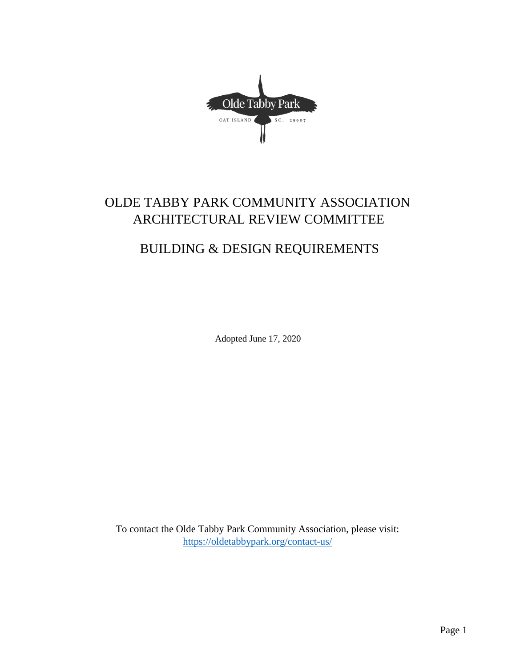Olde Tabby Park CAT ISLAND SC, 29907

# OLDE TABBY PARK COMMUNITY ASSOCIATION ARCHITECTURAL REVIEW COMMITTEE

# BUILDING & DESIGN REQUIREMENTS

Adopted June 17, 2020

To contact the Olde Tabby Park Community Association, please visit: <https://oldetabbypark.org/contact-us/>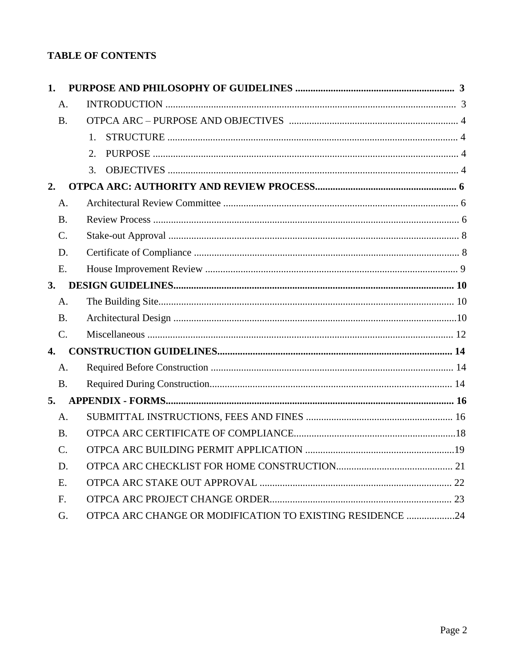## **TABLE OF CONTENTS**

| 1.               |                                                           |  |
|------------------|-----------------------------------------------------------|--|
| A <sub>1</sub>   |                                                           |  |
| B <sub>1</sub>   |                                                           |  |
|                  | 1.                                                        |  |
|                  | $\mathcal{D}_{\alpha}$                                    |  |
|                  | $\mathcal{R}_{\alpha}$                                    |  |
| 2.               |                                                           |  |
| A.               |                                                           |  |
| <b>B.</b>        |                                                           |  |
| $\mathcal{C}$ .  |                                                           |  |
| D.               |                                                           |  |
| E.               |                                                           |  |
| 3.               |                                                           |  |
| A.               |                                                           |  |
| B <sub>1</sub>   |                                                           |  |
| $C_{\cdot}$      |                                                           |  |
| $\overline{4}$ . |                                                           |  |
| A.               |                                                           |  |
| B <sub>1</sub>   |                                                           |  |
| 5.               |                                                           |  |
| A <sub>1</sub>   |                                                           |  |
| <b>B.</b>        |                                                           |  |
| $C_{\cdot}$      |                                                           |  |
| D.               |                                                           |  |
| E.               |                                                           |  |
| $F_{\cdot}$      |                                                           |  |
| G.               | OTPCA ARC CHANGE OR MODIFICATION TO EXISTING RESIDENCE 24 |  |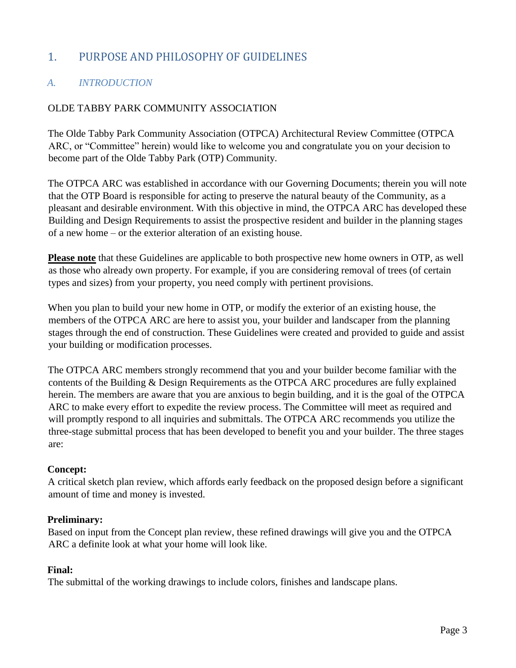## 1. PURPOSE AND PHILOSOPHY OF GUIDELINES

## *A. INTRODUCTION*

#### OLDE TABBY PARK COMMUNITY ASSOCIATION

The Olde Tabby Park Community Association (OTPCA) Architectural Review Committee (OTPCA ARC, or "Committee" herein) would like to welcome you and congratulate you on your decision to become part of the Olde Tabby Park (OTP) Community.

The OTPCA ARC was established in accordance with our Governing Documents; therein you will note that the OTP Board is responsible for acting to preserve the natural beauty of the Community, as a pleasant and desirable environment. With this objective in mind, the OTPCA ARC has developed these Building and Design Requirements to assist the prospective resident and builder in the planning stages of a new home – or the exterior alteration of an existing house.

**Please note** that these Guidelines are applicable to both prospective new home owners in OTP, as well as those who already own property. For example, if you are considering removal of trees (of certain types and sizes) from your property, you need comply with pertinent provisions.

When you plan to build your new home in OTP, or modify the exterior of an existing house, the members of the OTPCA ARC are here to assist you, your builder and landscaper from the planning stages through the end of construction. These Guidelines were created and provided to guide and assist your building or modification processes.

The OTPCA ARC members strongly recommend that you and your builder become familiar with the contents of the Building & Design Requirements as the OTPCA ARC procedures are fully explained herein. The members are aware that you are anxious to begin building, and it is the goal of the OTPCA ARC to make every effort to expedite the review process. The Committee will meet as required and will promptly respond to all inquiries and submittals. The OTPCA ARC recommends you utilize the three-stage submittal process that has been developed to benefit you and your builder. The three stages are:

#### **Concept:**

A critical sketch plan review, which affords early feedback on the proposed design before a significant amount of time and money is invested.

#### **Preliminary:**

Based on input from the Concept plan review, these refined drawings will give you and the OTPCA ARC a definite look at what your home will look like.

#### **Final:**

The submittal of the working drawings to include colors, finishes and landscape plans.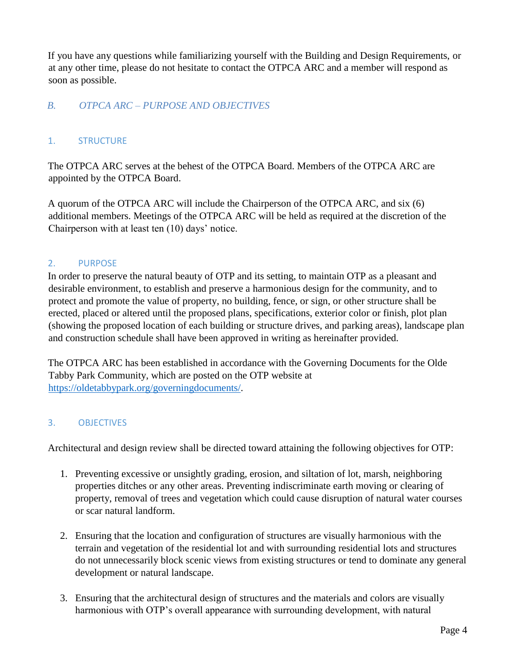If you have any questions while familiarizing yourself with the Building and Design Requirements, or at any other time, please do not hesitate to contact the OTPCA ARC and a member will respond as soon as possible.

#### *B. OTPCA ARC – PURPOSE AND OBJECTIVES*

#### 1. STRUCTURE

The OTPCA ARC serves at the behest of the OTPCA Board. Members of the OTPCA ARC are appointed by the OTPCA Board.

A quorum of the OTPCA ARC will include the Chairperson of the OTPCA ARC, and six (6) additional members. Meetings of the OTPCA ARC will be held as required at the discretion of the Chairperson with at least ten (10) days' notice.

#### 2. PURPOSE

In order to preserve the natural beauty of OTP and its setting, to maintain OTP as a pleasant and desirable environment, to establish and preserve a harmonious design for the community, and to protect and promote the value of property, no building, fence, or sign, or other structure shall be erected, placed or altered until the proposed plans, specifications, exterior color or finish, plot plan (showing the proposed location of each building or structure drives, and parking areas), landscape plan and construction schedule shall have been approved in writing as hereinafter provided.

The OTPCA ARC has been established in accordance with the Governing Documents for the Olde Tabby Park Community, which are posted on the OTP website at [https://oldetabbypark.org/governingdocuments/.](https://oldetabbypark.org/governing-documents/)

#### 3. OBJECTIVES

Architectural and design review shall be directed toward attaining the following objectives for OTP:

- 1. Preventing excessive or unsightly grading, erosion, and siltation of lot, marsh, neighboring properties ditches or any other areas. Preventing indiscriminate earth moving or clearing of property, removal of trees and vegetation which could cause disruption of natural water courses or scar natural landform.
- 2. Ensuring that the location and configuration of structures are visually harmonious with the terrain and vegetation of the residential lot and with surrounding residential lots and structures do not unnecessarily block scenic views from existing structures or tend to dominate any general development or natural landscape.
- 3. Ensuring that the architectural design of structures and the materials and colors are visually harmonious with OTP's overall appearance with surrounding development, with natural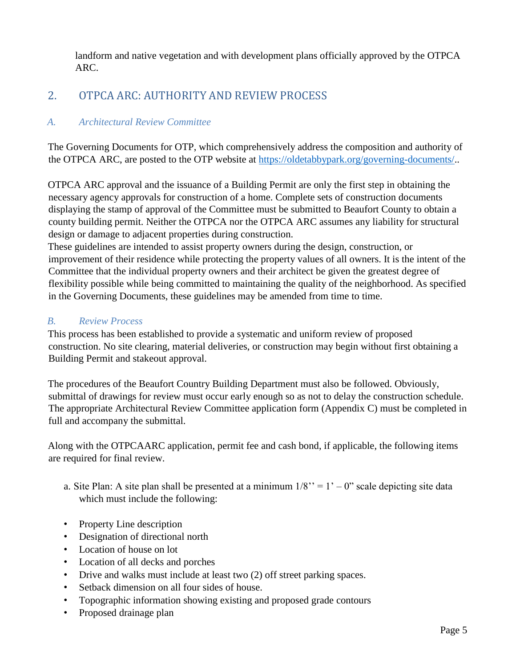landform and native vegetation and with development plans officially approved by the OTPCA ARC.

## 2. OTPCA ARC: AUTHORITY AND REVIEW PROCESS

#### *A. Architectural Review Committee*

The Governing Documents for OTP, which comprehensively address the composition and authority of the OTPCA ARC, are posted to the OTP website at [https://oldetabbypark.org/governing-documents/..](https://oldetabbypark.org/governing-documents/)

OTPCA ARC approval and the issuance of a Building Permit are only the first step in obtaining the necessary agency approvals for construction of a home. Complete sets of construction documents displaying the stamp of approval of the Committee must be submitted to Beaufort County to obtain a county building permit. Neither the OTPCA nor the OTPCA ARC assumes any liability for structural design or damage to adjacent properties during construction.

These guidelines are intended to assist property owners during the design, construction, or improvement of their residence while protecting the property values of all owners. It is the intent of the Committee that the individual property owners and their architect be given the greatest degree of flexibility possible while being committed to maintaining the quality of the neighborhood. As specified in the Governing Documents, these guidelines may be amended from time to time.

#### *B. Review Process*

This process has been established to provide a systematic and uniform review of proposed construction. No site clearing, material deliveries, or construction may begin without first obtaining a Building Permit and stakeout approval.

The procedures of the Beaufort Country Building Department must also be followed. Obviously, submittal of drawings for review must occur early enough so as not to delay the construction schedule. The appropriate Architectural Review Committee application form (Appendix C) must be completed in full and accompany the submittal.

Along with the OTPCAARC application, permit fee and cash bond, if applicable, the following items are required for final review.

- a. Site Plan: A site plan shall be presented at a minimum  $1/8$ " = 1' 0" scale depicting site data which must include the following:
- Property Line description
- Designation of directional north
- Location of house on lot
- Location of all decks and porches
- Drive and walks must include at least two (2) off street parking spaces.
- Setback dimension on all four sides of house.
- Topographic information showing existing and proposed grade contours
- Proposed drainage plan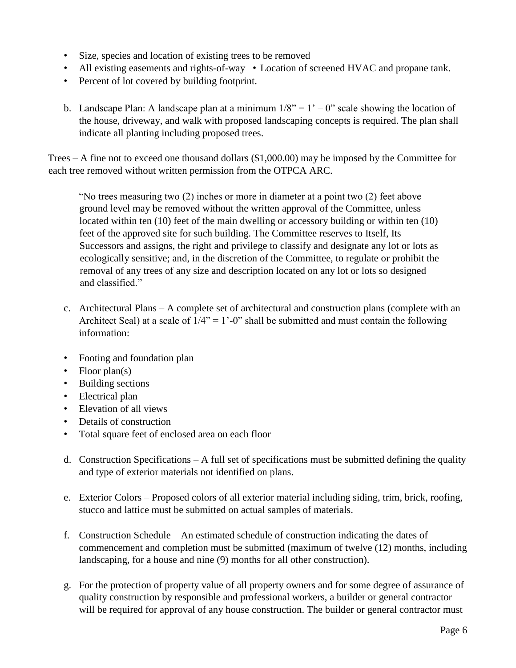- Size, species and location of existing trees to be removed
- All existing easements and rights-of-way Location of screened HVAC and propane tank.
- Percent of lot covered by building footprint.
- b. Landscape Plan: A landscape plan at a minimum  $1/8$ " = 1' 0" scale showing the location of the house, driveway, and walk with proposed landscaping concepts is required. The plan shall indicate all planting including proposed trees.

Trees – A fine not to exceed one thousand dollars (\$1,000.00) may be imposed by the Committee for each tree removed without written permission from the OTPCA ARC.

"No trees measuring two (2) inches or more in diameter at a point two (2) feet above ground level may be removed without the written approval of the Committee, unless located within ten (10) feet of the main dwelling or accessory building or within ten (10) feet of the approved site for such building. The Committee reserves to Itself, Its Successors and assigns, the right and privilege to classify and designate any lot or lots as ecologically sensitive; and, in the discretion of the Committee, to regulate or prohibit the removal of any trees of any size and description located on any lot or lots so designed and classified."

- c. Architectural Plans A complete set of architectural and construction plans (complete with an Architect Seal) at a scale of  $1/4$ " = 1'-0" shall be submitted and must contain the following information:
- Footing and foundation plan
- Floor plan(s)
- Building sections
- Electrical plan
- Elevation of all views
- Details of construction
- Total square feet of enclosed area on each floor
- d. Construction Specifications A full set of specifications must be submitted defining the quality and type of exterior materials not identified on plans.
- e. Exterior Colors Proposed colors of all exterior material including siding, trim, brick, roofing, stucco and lattice must be submitted on actual samples of materials.
- f. Construction Schedule An estimated schedule of construction indicating the dates of commencement and completion must be submitted (maximum of twelve (12) months, including landscaping, for a house and nine (9) months for all other construction).
- g. For the protection of property value of all property owners and for some degree of assurance of quality construction by responsible and professional workers, a builder or general contractor will be required for approval of any house construction. The builder or general contractor must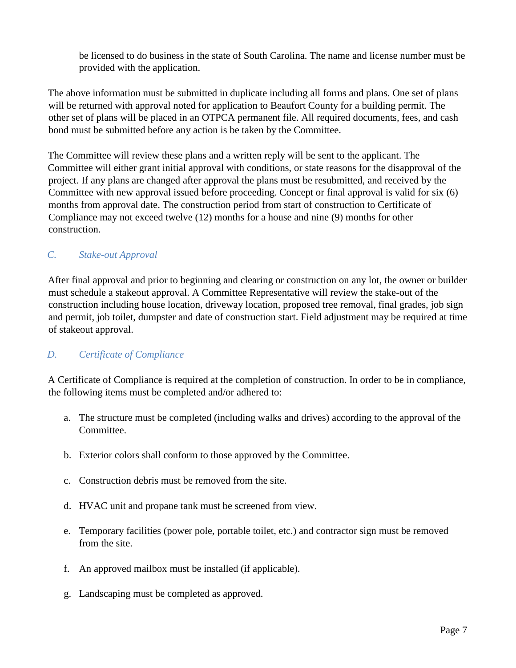be licensed to do business in the state of South Carolina. The name and license number must be provided with the application.

The above information must be submitted in duplicate including all forms and plans. One set of plans will be returned with approval noted for application to Beaufort County for a building permit. The other set of plans will be placed in an OTPCA permanent file. All required documents, fees, and cash bond must be submitted before any action is be taken by the Committee.

The Committee will review these plans and a written reply will be sent to the applicant. The Committee will either grant initial approval with conditions, or state reasons for the disapproval of the project. If any plans are changed after approval the plans must be resubmitted, and received by the Committee with new approval issued before proceeding. Concept or final approval is valid for six (6) months from approval date. The construction period from start of construction to Certificate of Compliance may not exceed twelve (12) months for a house and nine (9) months for other construction.

#### *C. Stake-out Approval*

After final approval and prior to beginning and clearing or construction on any lot, the owner or builder must schedule a stakeout approval. A Committee Representative will review the stake-out of the construction including house location, driveway location, proposed tree removal, final grades, job sign and permit, job toilet, dumpster and date of construction start. Field adjustment may be required at time of stakeout approval.

#### *D. Certificate of Compliance*

A Certificate of Compliance is required at the completion of construction. In order to be in compliance, the following items must be completed and/or adhered to:

- a. The structure must be completed (including walks and drives) according to the approval of the Committee.
- b. Exterior colors shall conform to those approved by the Committee.
- c. Construction debris must be removed from the site.
- d. HVAC unit and propane tank must be screened from view.
- e. Temporary facilities (power pole, portable toilet, etc.) and contractor sign must be removed from the site.
- f. An approved mailbox must be installed (if applicable).
- g. Landscaping must be completed as approved.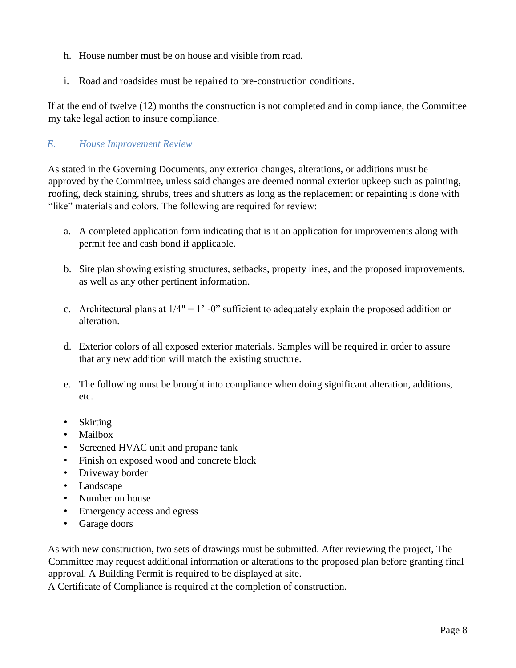- h. House number must be on house and visible from road.
- i. Road and roadsides must be repaired to pre-construction conditions.

If at the end of twelve (12) months the construction is not completed and in compliance, the Committee my take legal action to insure compliance.

#### *E. House Improvement Review*

As stated in the Governing Documents, any exterior changes, alterations, or additions must be approved by the Committee, unless said changes are deemed normal exterior upkeep such as painting, roofing, deck staining, shrubs, trees and shutters as long as the replacement or repainting is done with "like" materials and colors. The following are required for review:

- a. A completed application form indicating that is it an application for improvements along with permit fee and cash bond if applicable.
- b. Site plan showing existing structures, setbacks, property lines, and the proposed improvements, as well as any other pertinent information.
- c. Architectural plans at  $1/4" = 1' 0"$  sufficient to adequately explain the proposed addition or alteration.
- d. Exterior colors of all exposed exterior materials. Samples will be required in order to assure that any new addition will match the existing structure.
- e. The following must be brought into compliance when doing significant alteration, additions, etc.
- Skirting
- Mailbox
- Screened HVAC unit and propane tank
- Finish on exposed wood and concrete block
- Driveway border
- Landscape
- Number on house
- Emergency access and egress
- Garage doors

As with new construction, two sets of drawings must be submitted. After reviewing the project, The Committee may request additional information or alterations to the proposed plan before granting final approval. A Building Permit is required to be displayed at site.

A Certificate of Compliance is required at the completion of construction.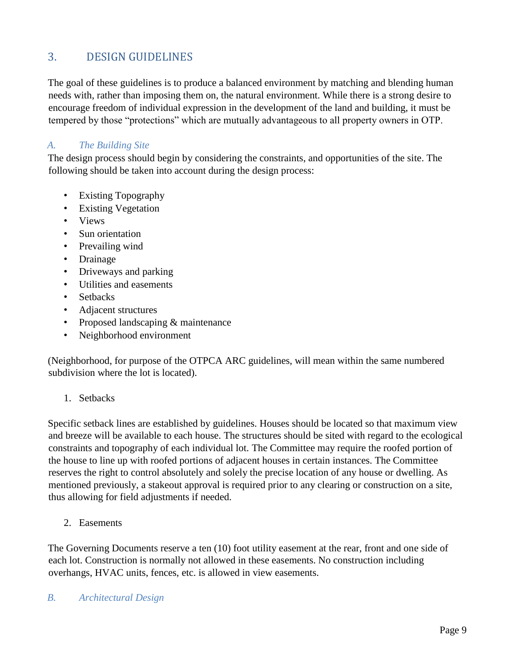## 3. DESIGN GUIDELINES

The goal of these guidelines is to produce a balanced environment by matching and blending human needs with, rather than imposing them on, the natural environment. While there is a strong desire to encourage freedom of individual expression in the development of the land and building, it must be tempered by those "protections" which are mutually advantageous to all property owners in OTP.

#### *A. The Building Site*

The design process should begin by considering the constraints, and opportunities of the site. The following should be taken into account during the design process:

- Existing Topography
- Existing Vegetation
- Views
- Sun orientation
- Prevailing wind
- Drainage
- Driveways and parking
- Utilities and easements
- Setbacks
- Adjacent structures
- Proposed landscaping & maintenance
- Neighborhood environment

(Neighborhood, for purpose of the OTPCA ARC guidelines, will mean within the same numbered subdivision where the lot is located).

1. Setbacks

Specific setback lines are established by guidelines. Houses should be located so that maximum view and breeze will be available to each house. The structures should be sited with regard to the ecological constraints and topography of each individual lot. The Committee may require the roofed portion of the house to line up with roofed portions of adjacent houses in certain instances. The Committee reserves the right to control absolutely and solely the precise location of any house or dwelling. As mentioned previously, a stakeout approval is required prior to any clearing or construction on a site, thus allowing for field adjustments if needed.

2. Easements

The Governing Documents reserve a ten (10) foot utility easement at the rear, front and one side of each lot. Construction is normally not allowed in these easements. No construction including overhangs, HVAC units, fences, etc. is allowed in view easements.

#### *B. Architectural Design*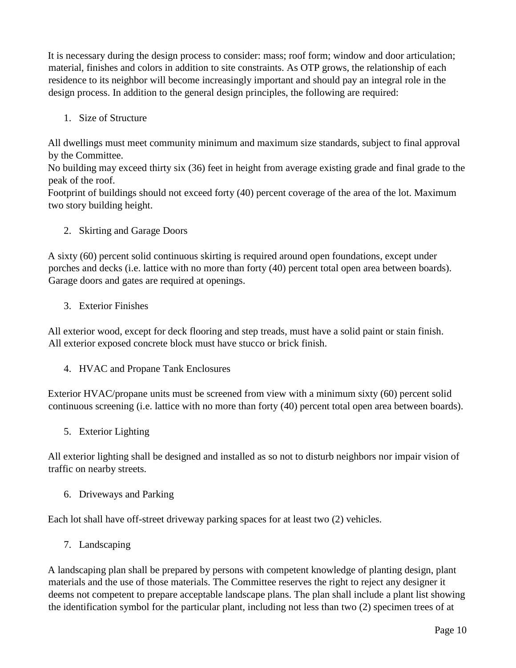It is necessary during the design process to consider: mass; roof form; window and door articulation; material, finishes and colors in addition to site constraints. As OTP grows, the relationship of each residence to its neighbor will become increasingly important and should pay an integral role in the design process. In addition to the general design principles, the following are required:

1. Size of Structure

All dwellings must meet community minimum and maximum size standards, subject to final approval by the Committee.

No building may exceed thirty six (36) feet in height from average existing grade and final grade to the peak of the roof.

Footprint of buildings should not exceed forty (40) percent coverage of the area of the lot. Maximum two story building height.

2. Skirting and Garage Doors

A sixty (60) percent solid continuous skirting is required around open foundations, except under porches and decks (i.e. lattice with no more than forty (40) percent total open area between boards). Garage doors and gates are required at openings.

3. Exterior Finishes

All exterior wood, except for deck flooring and step treads, must have a solid paint or stain finish. All exterior exposed concrete block must have stucco or brick finish.

4. HVAC and Propane Tank Enclosures

Exterior HVAC/propane units must be screened from view with a minimum sixty (60) percent solid continuous screening (i.e. lattice with no more than forty (40) percent total open area between boards).

5. Exterior Lighting

All exterior lighting shall be designed and installed as so not to disturb neighbors nor impair vision of traffic on nearby streets.

6. Driveways and Parking

Each lot shall have off-street driveway parking spaces for at least two (2) vehicles.

7. Landscaping

A landscaping plan shall be prepared by persons with competent knowledge of planting design, plant materials and the use of those materials. The Committee reserves the right to reject any designer it deems not competent to prepare acceptable landscape plans. The plan shall include a plant list showing the identification symbol for the particular plant, including not less than two (2) specimen trees of at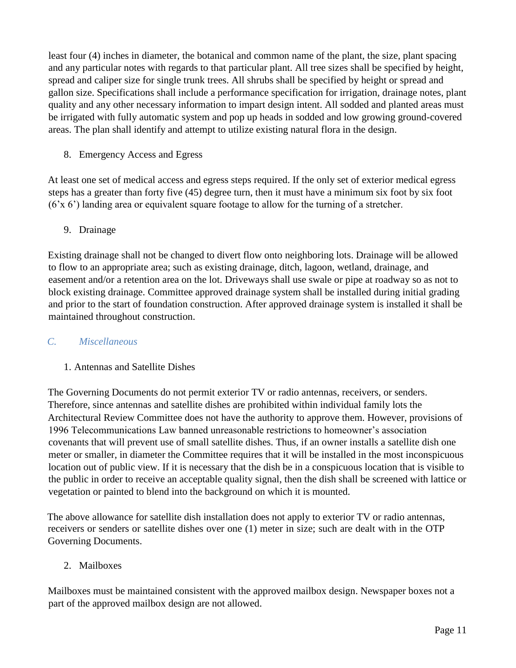least four (4) inches in diameter, the botanical and common name of the plant, the size, plant spacing and any particular notes with regards to that particular plant. All tree sizes shall be specified by height, spread and caliper size for single trunk trees. All shrubs shall be specified by height or spread and gallon size. Specifications shall include a performance specification for irrigation, drainage notes, plant quality and any other necessary information to impart design intent. All sodded and planted areas must be irrigated with fully automatic system and pop up heads in sodded and low growing ground-covered areas. The plan shall identify and attempt to utilize existing natural flora in the design.

8. Emergency Access and Egress

At least one set of medical access and egress steps required. If the only set of exterior medical egress steps has a greater than forty five (45) degree turn, then it must have a minimum six foot by six foot (6'x 6') landing area or equivalent square footage to allow for the turning of a stretcher.

### 9. Drainage

Existing drainage shall not be changed to divert flow onto neighboring lots. Drainage will be allowed to flow to an appropriate area; such as existing drainage, ditch, lagoon, wetland, drainage, and easement and/or a retention area on the lot. Driveways shall use swale or pipe at roadway so as not to block existing drainage. Committee approved drainage system shall be installed during initial grading and prior to the start of foundation construction. After approved drainage system is installed it shall be maintained throughout construction.

#### *C. Miscellaneous*

#### 1. Antennas and Satellite Dishes

The Governing Documents do not permit exterior TV or radio antennas, receivers, or senders. Therefore, since antennas and satellite dishes are prohibited within individual family lots the Architectural Review Committee does not have the authority to approve them. However, provisions of 1996 Telecommunications Law banned unreasonable restrictions to homeowner's association covenants that will prevent use of small satellite dishes. Thus, if an owner installs a satellite dish one meter or smaller, in diameter the Committee requires that it will be installed in the most inconspicuous location out of public view. If it is necessary that the dish be in a conspicuous location that is visible to the public in order to receive an acceptable quality signal, then the dish shall be screened with lattice or vegetation or painted to blend into the background on which it is mounted.

The above allowance for satellite dish installation does not apply to exterior TV or radio antennas, receivers or senders or satellite dishes over one (1) meter in size; such are dealt with in the OTP Governing Documents.

#### 2. Mailboxes

Mailboxes must be maintained consistent with the approved mailbox design. Newspaper boxes not a part of the approved mailbox design are not allowed.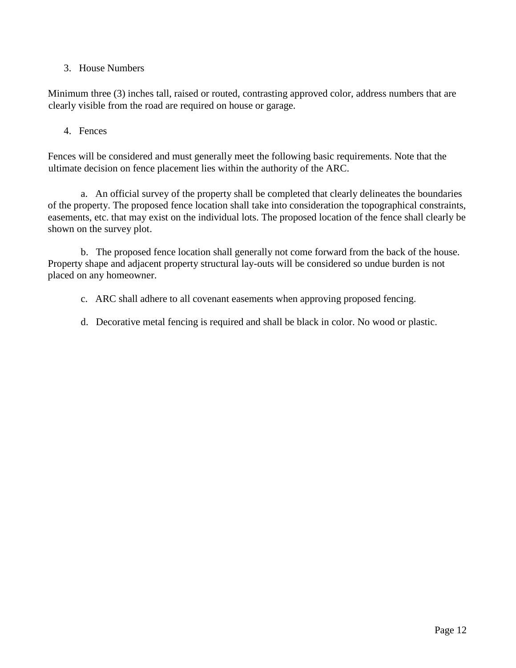3. House Numbers

Minimum three (3) inches tall, raised or routed, contrasting approved color, address numbers that are clearly visible from the road are required on house or garage.

#### 4. Fences

Fences will be considered and must generally meet the following basic requirements. Note that the ultimate decision on fence placement lies within the authority of the ARC.

a. An official survey of the property shall be completed that clearly delineates the boundaries of the property. The proposed fence location shall take into consideration the topographical constraints, easements, etc. that may exist on the individual lots. The proposed location of the fence shall clearly be shown on the survey plot.

b. The proposed fence location shall generally not come forward from the back of the house. Property shape and adjacent property structural lay-outs will be considered so undue burden is not placed on any homeowner.

- c. ARC shall adhere to all covenant easements when approving proposed fencing.
- d. Decorative metal fencing is required and shall be black in color. No wood or plastic.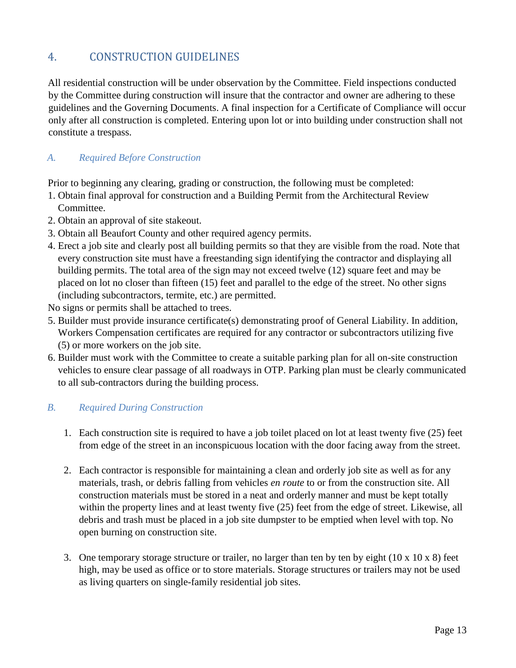## 4. CONSTRUCTION GUIDELINES

All residential construction will be under observation by the Committee. Field inspections conducted by the Committee during construction will insure that the contractor and owner are adhering to these guidelines and the Governing Documents. A final inspection for a Certificate of Compliance will occur only after all construction is completed. Entering upon lot or into building under construction shall not constitute a trespass.

#### *A. Required Before Construction*

Prior to beginning any clearing, grading or construction, the following must be completed:

- 1. Obtain final approval for construction and a Building Permit from the Architectural Review Committee.
- 2. Obtain an approval of site stakeout.
- 3. Obtain all Beaufort County and other required agency permits.
- 4. Erect a job site and clearly post all building permits so that they are visible from the road. Note that every construction site must have a freestanding sign identifying the contractor and displaying all building permits. The total area of the sign may not exceed twelve (12) square feet and may be placed on lot no closer than fifteen (15) feet and parallel to the edge of the street. No other signs (including subcontractors, termite, etc.) are permitted.

No signs or permits shall be attached to trees.

- 5. Builder must provide insurance certificate(s) demonstrating proof of General Liability. In addition, Workers Compensation certificates are required for any contractor or subcontractors utilizing five (5) or more workers on the job site.
- 6. Builder must work with the Committee to create a suitable parking plan for all on-site construction vehicles to ensure clear passage of all roadways in OTP. Parking plan must be clearly communicated to all sub-contractors during the building process.

#### *B. Required During Construction*

- 1. Each construction site is required to have a job toilet placed on lot at least twenty five (25) feet from edge of the street in an inconspicuous location with the door facing away from the street.
- 2. Each contractor is responsible for maintaining a clean and orderly job site as well as for any materials, trash, or debris falling from vehicles *en route* to or from the construction site. All construction materials must be stored in a neat and orderly manner and must be kept totally within the property lines and at least twenty five (25) feet from the edge of street. Likewise, all debris and trash must be placed in a job site dumpster to be emptied when level with top. No open burning on construction site.
- 3. One temporary storage structure or trailer, no larger than ten by ten by eight (10 x 10 x 8) feet high, may be used as office or to store materials. Storage structures or trailers may not be used as living quarters on single-family residential job sites.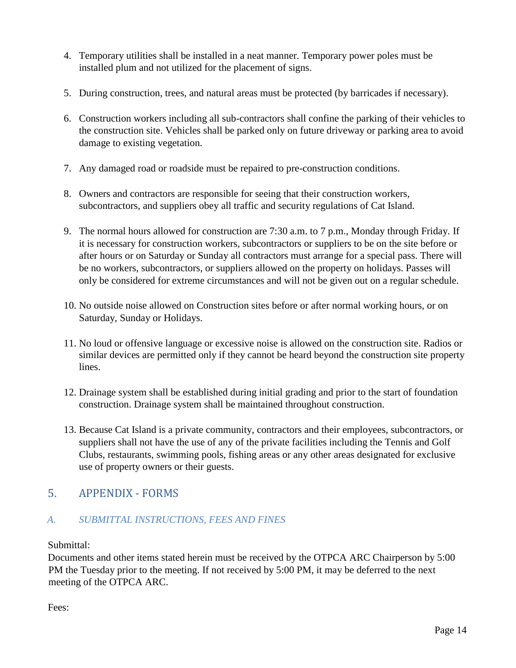- 4. Temporary utilities shall be installed in a neat manner. Temporary power poles must be installed plum and not utilized for the placement of signs.
- 5. During construction, trees, and natural areas must be protected (by barricades if necessary).
- 6. Construction workers including all sub-contractors shall confine the parking of their vehicles to the construction site. Vehicles shall be parked only on future driveway or parking area to avoid damage to existing vegetation.
- 7. Any damaged road or roadside must be repaired to pre-construction conditions.
- 8. Owners and contractors are responsible for seeing that their construction workers, subcontractors, and suppliers obey all traffic and security regulations of Cat Island.
- 9. The normal hours allowed for construction are 7:30 a.m. to 7 p.m., Monday through Friday. If it is necessary for construction workers, subcontractors or suppliers to be on the site before or after hours or on Saturday or Sunday all contractors must arrange for a special pass. There will be no workers, subcontractors, or suppliers allowed on the property on holidays. Passes will only be considered for extreme circumstances and will not be given out on a regular schedule.
- 10. No outside noise allowed on Construction sites before or after normal working hours, or on Saturday, Sunday or Holidays.
- 11. No loud or offensive language or excessive noise is allowed on the construction site. Radios or similar devices are permitted only if they cannot be heard beyond the construction site property lines.
- 12. Drainage system shall be established during initial grading and prior to the start of foundation construction. Drainage system shall be maintained throughout construction.
- 13. Because Cat Island is a private community, contractors and their employees, subcontractors, or suppliers shall not have the use of any of the private facilities including the Tennis and Golf Clubs, restaurants, swimming pools, fishing areas or any other areas designated for exclusive use of property owners or their guests.

## 5. APPENDIX - FORMS

#### *A. SUBMITTAL INSTRUCTIONS, FEES AND FINES*

#### Submittal:

Documents and other items stated herein must be received by the OTPCA ARC Chairperson by 5:00 PM the Tuesday prior to the meeting. If not received by 5:00 PM, it may be deferred to the next meeting of the OTPCA ARC.

Fees: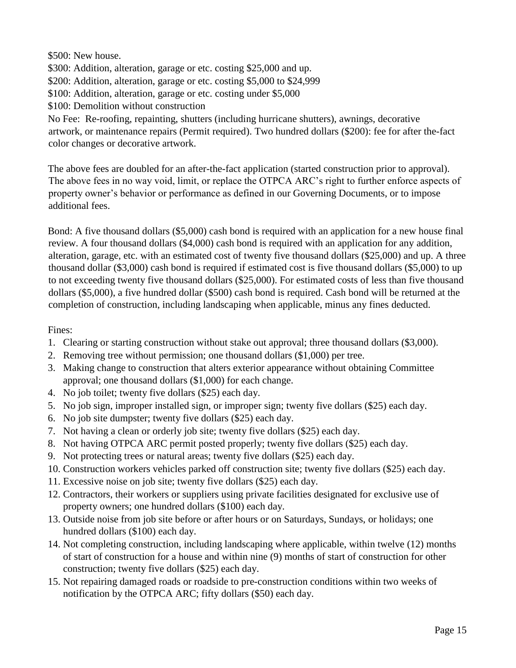\$500: New house.

\$300: Addition, alteration, garage or etc. costing \$25,000 and up.

\$200: Addition, alteration, garage or etc. costing \$5,000 to \$24,999

\$100: Addition, alteration, garage or etc. costing under \$5,000

\$100: Demolition without construction

No Fee: Re-roofing, repainting, shutters (including hurricane shutters), awnings, decorative artwork, or maintenance repairs (Permit required). Two hundred dollars (\$200): fee for after the-fact color changes or decorative artwork.

The above fees are doubled for an after-the-fact application (started construction prior to approval). The above fees in no way void, limit, or replace the OTPCA ARC's right to further enforce aspects of property owner's behavior or performance as defined in our Governing Documents, or to impose additional fees.

Bond: A five thousand dollars (\$5,000) cash bond is required with an application for a new house final review. A four thousand dollars (\$4,000) cash bond is required with an application for any addition, alteration, garage, etc. with an estimated cost of twenty five thousand dollars (\$25,000) and up. A three thousand dollar (\$3,000) cash bond is required if estimated cost is five thousand dollars (\$5,000) to up to not exceeding twenty five thousand dollars (\$25,000). For estimated costs of less than five thousand dollars (\$5,000), a five hundred dollar (\$500) cash bond is required. Cash bond will be returned at the completion of construction, including landscaping when applicable, minus any fines deducted.

Fines:

- 1. Clearing or starting construction without stake out approval; three thousand dollars (\$3,000).
- 2. Removing tree without permission; one thousand dollars (\$1,000) per tree.
- 3. Making change to construction that alters exterior appearance without obtaining Committee approval; one thousand dollars (\$1,000) for each change.
- 4. No job toilet; twenty five dollars (\$25) each day.
- 5. No job sign, improper installed sign, or improper sign; twenty five dollars (\$25) each day.
- 6. No job site dumpster; twenty five dollars (\$25) each day.
- 7. Not having a clean or orderly job site; twenty five dollars (\$25) each day.
- 8. Not having OTPCA ARC permit posted properly; twenty five dollars (\$25) each day.
- 9. Not protecting trees or natural areas; twenty five dollars (\$25) each day.
- 10. Construction workers vehicles parked off construction site; twenty five dollars (\$25) each day.
- 11. Excessive noise on job site; twenty five dollars (\$25) each day.
- 12. Contractors, their workers or suppliers using private facilities designated for exclusive use of property owners; one hundred dollars (\$100) each day.
- 13. Outside noise from job site before or after hours or on Saturdays, Sundays, or holidays; one hundred dollars (\$100) each day.
- 14. Not completing construction, including landscaping where applicable, within twelve (12) months of start of construction for a house and within nine (9) months of start of construction for other construction; twenty five dollars (\$25) each day.
- 15. Not repairing damaged roads or roadside to pre-construction conditions within two weeks of notification by the OTPCA ARC; fifty dollars (\$50) each day.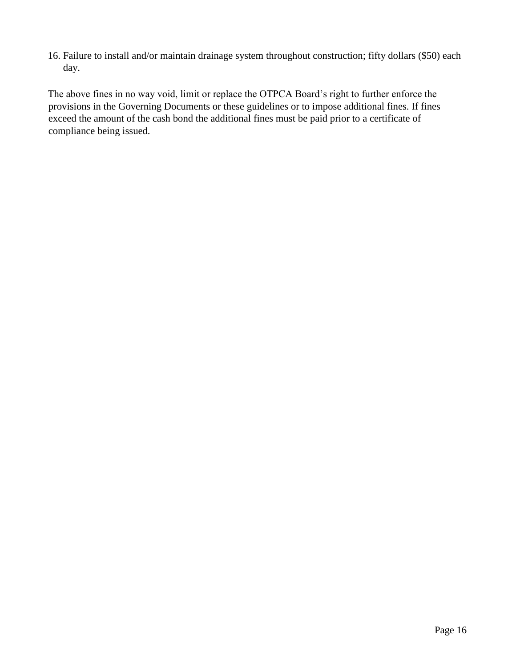16. Failure to install and/or maintain drainage system throughout construction; fifty dollars (\$50) each day.

The above fines in no way void, limit or replace the OTPCA Board's right to further enforce the provisions in the Governing Documents or these guidelines or to impose additional fines. If fines exceed the amount of the cash bond the additional fines must be paid prior to a certificate of compliance being issued.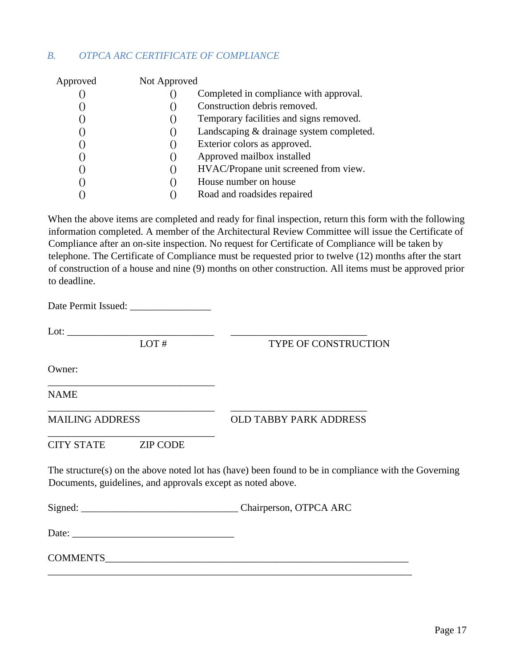#### *B. OTPCA ARC CERTIFICATE OF COMPLIANCE*

| Approved | Not Approved       |                                          |
|----------|--------------------|------------------------------------------|
|          |                    | Completed in compliance with approval.   |
|          |                    | Construction debris removed.             |
|          | ( )                | Temporary facilities and signs removed.  |
|          | $\left( \right)$   | Landscaping & drainage system completed. |
|          | ( )                | Exterior colors as approved.             |
|          | ( )                | Approved mailbox installed               |
|          | $\left( \ \right)$ | HVAC/Propane unit screened from view.    |
|          | ( )                | House number on house                    |
|          |                    | Road and roadsides repaired              |

When the above items are completed and ready for final inspection, return this form with the following information completed. A member of the Architectural Review Committee will issue the Certificate of Compliance after an on-site inspection. No request for Certificate of Compliance will be taken by telephone. The Certificate of Compliance must be requested prior to twelve (12) months after the start of construction of a house and nine (9) months on other construction. All items must be approved prior to deadline.

Date Permit Issued: \_\_\_\_\_\_\_\_\_\_\_\_\_\_\_\_

\_\_\_\_\_\_\_\_\_\_\_\_\_\_\_\_\_\_\_\_\_\_\_\_\_\_\_\_\_\_\_\_\_

\_\_\_\_\_\_\_\_\_\_\_\_\_\_\_\_\_\_\_\_\_\_\_\_\_\_\_\_\_\_\_\_\_

Lot: \_\_\_\_\_\_\_\_\_\_\_\_\_\_\_\_\_\_\_\_\_\_\_\_\_\_\_\_\_ \_\_\_\_\_\_\_\_\_\_\_\_\_\_\_\_\_\_\_\_\_\_\_\_\_\_\_

LOT # TYPE OF CONSTRUCTION

Owner:

NAME

MAILING ADDRESS OLD TABBY PARK ADDRESS

CITY STATE ZIP CODE

The structure(s) on the above noted lot has (have) been found to be in compliance with the Governing Documents, guidelines, and approvals except as noted above.

Signed: \_\_\_\_\_\_\_\_\_\_\_\_\_\_\_\_\_\_\_\_\_\_\_\_\_\_\_\_\_\_\_ Chairperson, OTPCA ARC

\_\_\_\_\_\_\_\_\_\_\_\_\_\_\_\_\_\_\_\_\_\_\_\_\_\_\_\_\_\_\_\_\_ \_\_\_\_\_\_\_\_\_\_\_\_\_\_\_\_\_\_\_\_\_\_\_\_\_\_\_

Date: \_\_\_\_\_\_\_\_\_\_\_\_\_\_\_\_\_\_\_\_\_\_\_\_\_\_\_\_\_\_\_\_

COMMENTS \_\_\_\_\_\_\_\_\_\_\_\_\_\_\_\_\_\_\_\_\_\_\_\_\_\_\_\_\_\_\_\_\_\_\_\_\_\_\_\_\_\_\_\_\_\_\_\_\_\_\_\_\_\_\_\_\_\_\_\_\_\_\_\_\_\_\_\_\_\_\_\_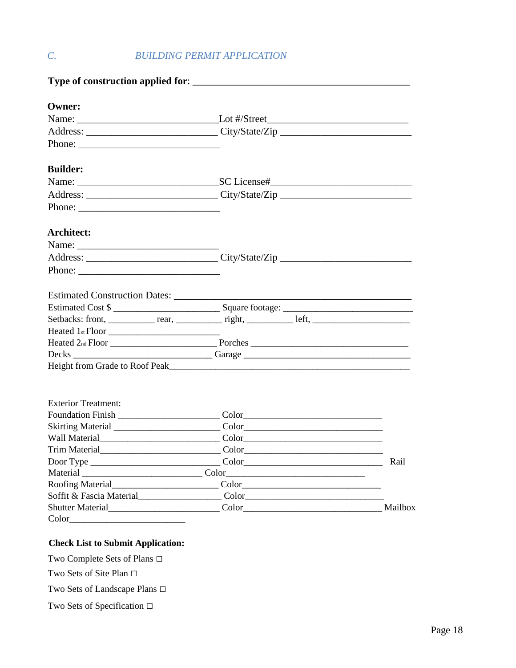## *C. BUILDING PERMIT APPLICATION*

| <b>Owner:</b>                                                                                                                                                                                                                                                                                                                                                                                                |                                                                                                                                                                                                                                                                                                                                  |      |
|--------------------------------------------------------------------------------------------------------------------------------------------------------------------------------------------------------------------------------------------------------------------------------------------------------------------------------------------------------------------------------------------------------------|----------------------------------------------------------------------------------------------------------------------------------------------------------------------------------------------------------------------------------------------------------------------------------------------------------------------------------|------|
|                                                                                                                                                                                                                                                                                                                                                                                                              |                                                                                                                                                                                                                                                                                                                                  |      |
|                                                                                                                                                                                                                                                                                                                                                                                                              |                                                                                                                                                                                                                                                                                                                                  |      |
|                                                                                                                                                                                                                                                                                                                                                                                                              |                                                                                                                                                                                                                                                                                                                                  |      |
| <b>Builder:</b>                                                                                                                                                                                                                                                                                                                                                                                              |                                                                                                                                                                                                                                                                                                                                  |      |
|                                                                                                                                                                                                                                                                                                                                                                                                              |                                                                                                                                                                                                                                                                                                                                  |      |
|                                                                                                                                                                                                                                                                                                                                                                                                              |                                                                                                                                                                                                                                                                                                                                  |      |
| Phone: $\frac{1}{\sqrt{1-\frac{1}{2}}\sqrt{1-\frac{1}{2}}\sqrt{1-\frac{1}{2}}\sqrt{1-\frac{1}{2}}\sqrt{1-\frac{1}{2}}\sqrt{1-\frac{1}{2}}\sqrt{1-\frac{1}{2}}\sqrt{1-\frac{1}{2}}\sqrt{1-\frac{1}{2}}\sqrt{1-\frac{1}{2}}\sqrt{1-\frac{1}{2}}\sqrt{1-\frac{1}{2}}\sqrt{1-\frac{1}{2}}\sqrt{1-\frac{1}{2}}\sqrt{1-\frac{1}{2}}\sqrt{1-\frac{1}{2}}\sqrt{1-\frac{1}{2}}\sqrt{1-\frac{1}{2}}\sqrt{1-\frac{1}{2$ |                                                                                                                                                                                                                                                                                                                                  |      |
| Architect:                                                                                                                                                                                                                                                                                                                                                                                                   |                                                                                                                                                                                                                                                                                                                                  |      |
|                                                                                                                                                                                                                                                                                                                                                                                                              |                                                                                                                                                                                                                                                                                                                                  |      |
|                                                                                                                                                                                                                                                                                                                                                                                                              |                                                                                                                                                                                                                                                                                                                                  |      |
|                                                                                                                                                                                                                                                                                                                                                                                                              |                                                                                                                                                                                                                                                                                                                                  |      |
|                                                                                                                                                                                                                                                                                                                                                                                                              |                                                                                                                                                                                                                                                                                                                                  |      |
|                                                                                                                                                                                                                                                                                                                                                                                                              | Estimated Cost \$                                                                                                                                                                                                                                                                                                                |      |
|                                                                                                                                                                                                                                                                                                                                                                                                              |                                                                                                                                                                                                                                                                                                                                  |      |
|                                                                                                                                                                                                                                                                                                                                                                                                              |                                                                                                                                                                                                                                                                                                                                  |      |
|                                                                                                                                                                                                                                                                                                                                                                                                              |                                                                                                                                                                                                                                                                                                                                  |      |
|                                                                                                                                                                                                                                                                                                                                                                                                              | Decks ________________________________Garage ___________________________________                                                                                                                                                                                                                                                 |      |
|                                                                                                                                                                                                                                                                                                                                                                                                              |                                                                                                                                                                                                                                                                                                                                  |      |
| <b>Exterior Treatment:</b>                                                                                                                                                                                                                                                                                                                                                                                   |                                                                                                                                                                                                                                                                                                                                  |      |
|                                                                                                                                                                                                                                                                                                                                                                                                              |                                                                                                                                                                                                                                                                                                                                  |      |
|                                                                                                                                                                                                                                                                                                                                                                                                              |                                                                                                                                                                                                                                                                                                                                  |      |
|                                                                                                                                                                                                                                                                                                                                                                                                              |                                                                                                                                                                                                                                                                                                                                  |      |
| Trim Material                                                                                                                                                                                                                                                                                                                                                                                                |                                                                                                                                                                                                                                                                                                                                  |      |
|                                                                                                                                                                                                                                                                                                                                                                                                              |                                                                                                                                                                                                                                                                                                                                  | Rail |
|                                                                                                                                                                                                                                                                                                                                                                                                              |                                                                                                                                                                                                                                                                                                                                  |      |
|                                                                                                                                                                                                                                                                                                                                                                                                              |                                                                                                                                                                                                                                                                                                                                  |      |
| Soffit & Fascia Material                                                                                                                                                                                                                                                                                                                                                                                     | $Color_{}_{\_{}_{\_{}_{\_}}\_{}_{\_}}\_{}_{\_} \_{}_{\_} \_{}_{\_} \_{}_{\_} \_{}_{\_} \_{}_{\_} \_{}_{\_} \_{}_{\_} \_{}_{\_} \_{}_{\_} \_{}_{\_} \_{}_{\_} \_{}_{\_} \_{}_{\_} \_{}_{\_} \_{}_{\_} \_{}_{\_} \_{}_{\_} \_{}_{\_} \_{}_{\_} \_{}_{\_} \_{}_{\_} \_{}_{\_} \_{}_{\_} \_{}_{\_} \_{}_{\_} \_{}_{\_} \_{}_{\_} \_$ |      |
|                                                                                                                                                                                                                                                                                                                                                                                                              |                                                                                                                                                                                                                                                                                                                                  |      |
|                                                                                                                                                                                                                                                                                                                                                                                                              |                                                                                                                                                                                                                                                                                                                                  |      |

#### **Check List to Submit Application:**

Two Complete Sets of Plans **□**

Two Sets of Site Plan **□**

Two Sets of Landscape Plans **□**

Two Sets of Specification **□**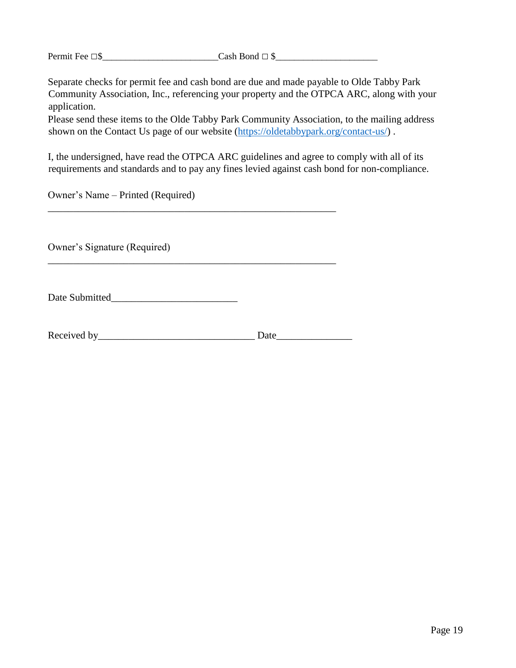Permit Fee **□**\$\_\_\_\_\_\_\_\_\_\_\_\_\_\_\_\_\_\_\_\_\_\_\_\_\_Cash Bond **□** \$\_\_\_\_\_\_\_\_\_\_\_\_\_\_\_\_\_\_\_\_\_\_

Separate checks for permit fee and cash bond are due and made payable to Olde Tabby Park Community Association, Inc., referencing your property and the OTPCA ARC, along with your application.

Please send these items to the Olde Tabby Park Community Association, to the mailing address shown on the Contact Us page of our website [\(https://oldetabbypark.org/contact-us/\)](https://oldetabbypark.org/contact-us/) .

I, the undersigned, have read the OTPCA ARC guidelines and agree to comply with all of its requirements and standards and to pay any fines levied against cash bond for non-compliance.

Owner's Name – Printed (Required)

Owner's Signature (Required)

Date Submitted

Received by Date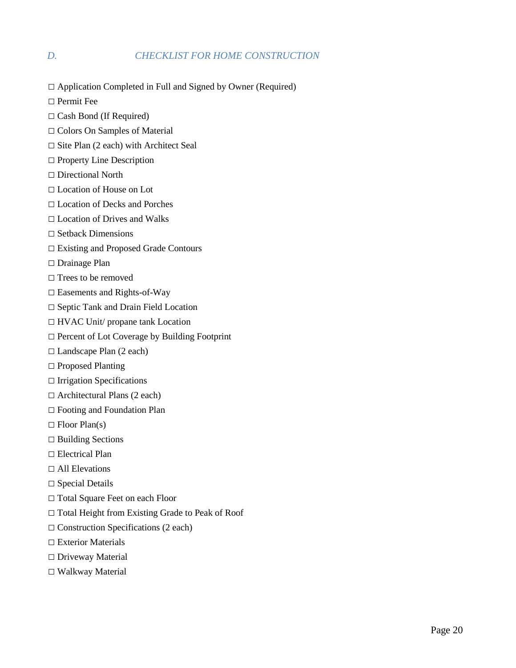#### *D. CHECKLIST FOR HOME CONSTRUCTION*

**□** Application Completed in Full and Signed by Owner (Required)

**□** Permit Fee

- **□** Cash Bond (If Required)
- **□** Colors On Samples of Material
- **□** Site Plan (2 each) with Architect Seal
- **□** Property Line Description
- **□** Directional North
- **□** Location of House on Lot
- **□** Location of Decks and Porches
- **□** Location of Drives and Walks
- **□** Setback Dimensions
- **□** Existing and Proposed Grade Contours
- **□** Drainage Plan
- **□** Trees to be removed
- **□** Easements and Rights-of-Way
- **□** Septic Tank and Drain Field Location
- **□** HVAC Unit/ propane tank Location
- **□** Percent of Lot Coverage by Building Footprint
- **□** Landscape Plan (2 each)
- **□** Proposed Planting
- **□** Irrigation Specifications
- **□** Architectural Plans (2 each)
- **□** Footing and Foundation Plan
- **□** Floor Plan(s)
- **□** Building Sections
- **□** Electrical Plan
- **□** All Elevations
- **□** Special Details
- □ Total Square Feet on each Floor
- **□** Total Height from Existing Grade to Peak of Roof
- **□** Construction Specifications (2 each)
- **□** Exterior Materials
- **□** Driveway Material
- **□** Walkway Material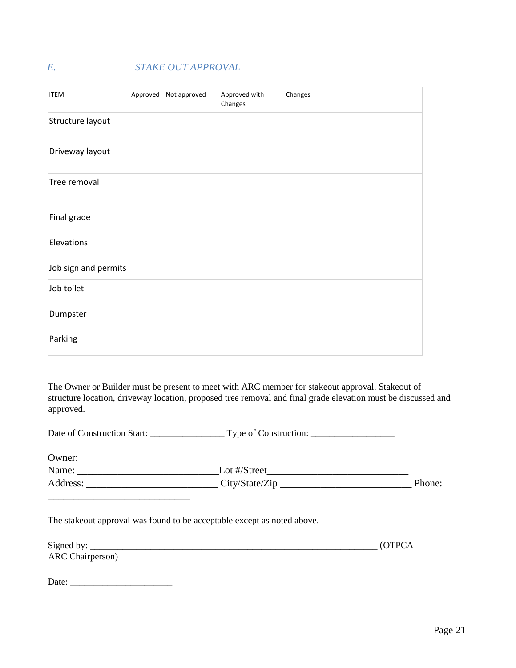## *E. STAKE OUT APPROVAL*

| <b>ITEM</b>          | Approved | Not approved | Approved with<br>Changes | Changes |  |
|----------------------|----------|--------------|--------------------------|---------|--|
| Structure layout     |          |              |                          |         |  |
| Driveway layout      |          |              |                          |         |  |
| Tree removal         |          |              |                          |         |  |
| Final grade          |          |              |                          |         |  |
| Elevations           |          |              |                          |         |  |
| Job sign and permits |          |              |                          |         |  |
| Job toilet           |          |              |                          |         |  |
| Dumpster             |          |              |                          |         |  |
| Parking              |          |              |                          |         |  |

The Owner or Builder must be present to meet with ARC member for stakeout approval. Stakeout of structure location, driveway location, proposed tree removal and final grade elevation must be discussed and approved.

Date of Construction Start: \_\_\_\_\_\_\_\_\_\_\_\_\_\_\_\_ Type of Construction: \_\_\_\_\_\_\_\_\_\_\_\_\_\_\_\_\_\_

Owner:

Name: \_\_\_\_\_\_\_\_\_\_\_\_\_\_\_\_\_\_\_\_\_\_\_\_\_\_\_\_Lot #/Street\_\_\_\_\_\_\_\_\_\_\_\_\_\_\_\_\_\_\_\_\_\_\_\_\_\_\_\_ Address: \_\_\_\_\_\_\_\_\_\_\_\_\_\_\_\_\_\_\_\_\_\_\_\_\_\_ City/State/Zip \_\_\_\_\_\_\_\_\_\_\_\_\_\_\_\_\_\_\_\_\_\_\_\_\_\_ Phone: \_\_\_\_\_\_\_\_\_\_\_\_\_\_\_\_\_\_\_\_\_\_\_\_\_\_\_\_

The stakeout approval was found to be acceptable except as noted above.

| Signed by:       |  |
|------------------|--|
| ARC Chairperson) |  |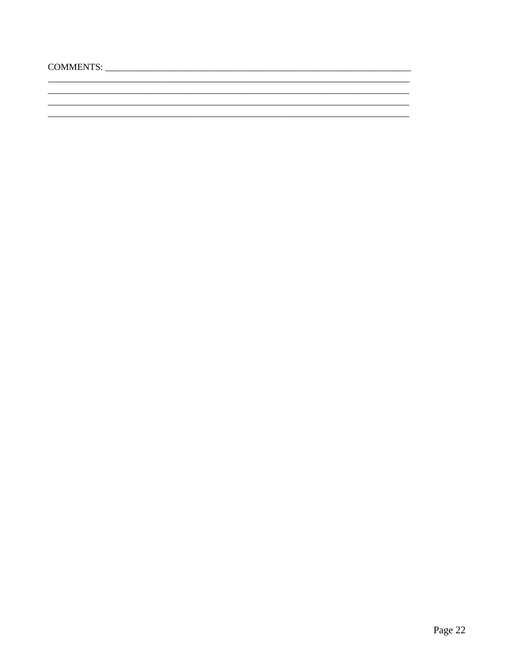L.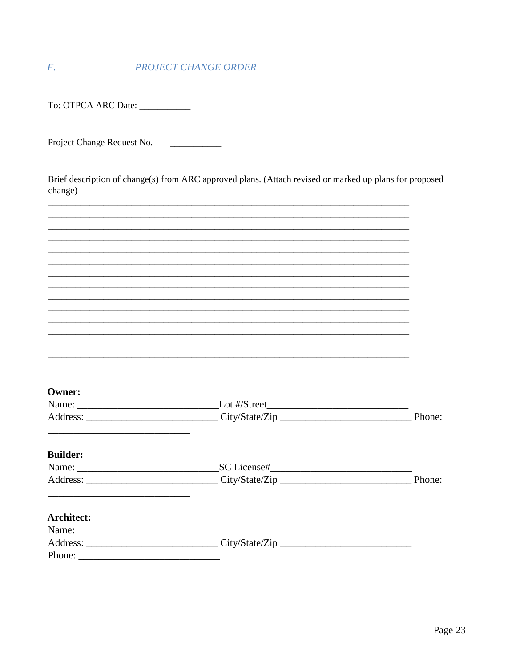#### $\overline{F}$ . PROJECT CHANGE ORDER

To: OTPCA ARC Date: \_\_\_\_\_\_\_\_\_\_\_

 $\frac{1}{2}$ 

Brief description of change(s) from ARC approved plans. (Attach revised or marked up plans for proposed change)

| Owner:            |        |
|-------------------|--------|
|                   |        |
|                   | Phone: |
|                   |        |
|                   |        |
| <b>Builder:</b>   |        |
|                   |        |
|                   | Phone: |
|                   |        |
|                   |        |
| <b>Architect:</b> |        |
|                   |        |
|                   |        |
| Phone:            |        |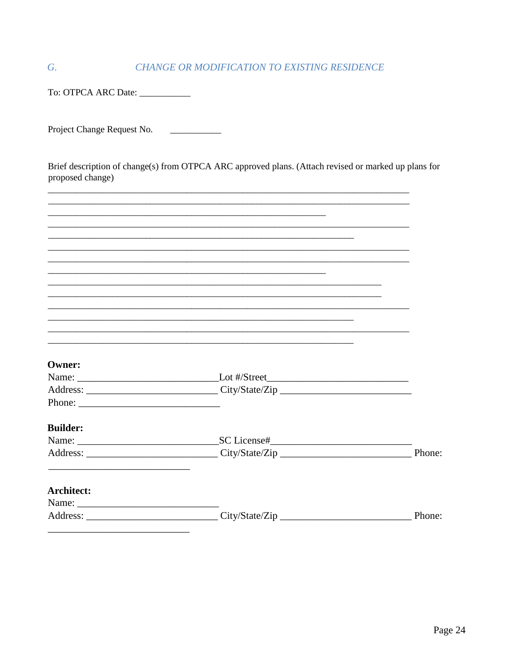#### CHANGE OR MODIFICATION TO EXISTING RESIDENCE

To: OTPCA ARC Date: \_\_\_\_\_\_\_\_\_\_

 $\overline{G}$ .

Brief description of change(s) from OTPCA ARC approved plans. (Attach revised or marked up plans for proposed change)

| <b>Owner:</b>     |        |
|-------------------|--------|
|                   |        |
|                   |        |
|                   |        |
|                   |        |
|                   |        |
| <b>Builder:</b>   |        |
|                   |        |
|                   | Phone: |
|                   |        |
| <b>Architect:</b> |        |
|                   |        |
|                   | Phone: |
|                   |        |